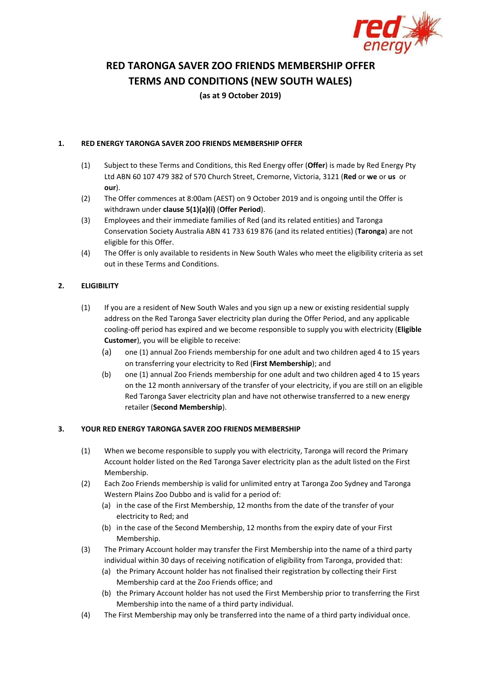

# **RED TARONGA SAVER ZOO FRIENDS MEMBERSHIP OFFER**

**TERMS AND CONDITIONS (NEW SOUTH WALES)**

**(as at 9 October 2019)**

### **1. RED ENERGY TARONGA SAVER ZOO FRIENDS MEMBERSHIP OFFER**

- (1) Subject to these Terms and Conditions, this Red Energy offer (**Offer**) is made by Red Energy Pty Ltd ABN 60 107 479 382 of 570 Church Street, Cremorne, Victoria, 3121 (**Red** or **we** or **us** or **our**).
- (2) The Offer commences at 8:00am (AEST) on 9 October 2019 and is ongoing until the Offer is withdrawn under **clause 5(1)(a)(i)** (**Offer Period**).
- (3) Employees and their immediate families of Red (and its related entities) and Taronga Conservation Society Australia ABN 41 733 619 876 (and its related entities) (**Taronga**) are not eligible for this Offer.
- (4) The Offer is only available to residents in New South Wales who meet the eligibility criteria as set out in these Terms and Conditions.

# **2. ELIGIBILITY**

- (1) If you are a resident of New South Wales and you sign up a new or existing residential supply address on the Red Taronga Saver electricity plan during the Offer Period, and any applicable cooling-off period has expired and we become responsible to supply you with electricity (**Eligible Customer**), you will be eligible to receive:
	- (a) one (1) annual Zoo Friends membership for one adult and two children aged 4 to 15 years on transferring your electricity to Red (**First Membership**); and
	- (b) one (1) annual Zoo Friends membership for one adult and two children aged 4 to 15 years on the 12 month anniversary of the transfer of your electricity, if you are still on an eligible Red Taronga Saver electricity plan and have not otherwise transferred to a new energy retailer (**Second Membership**).

# **3. YOUR RED ENERGY TARONGA SAVER ZOO FRIENDS MEMBERSHIP**

- (1) When we become responsible to supply you with electricity, Taronga will record the Primary Account holder listed on the Red Taronga Saver electricity plan as the adult listed on the First Membership.
- (2) Each Zoo Friends membership is valid for unlimited entry at Taronga Zoo Sydney and Taronga Western Plains Zoo Dubbo and is valid for a period of:
	- (a) in the case of the First Membership, 12 months from the date of the transfer of your electricity to Red; and
	- (b) in the case of the Second Membership, 12 months from the expiry date of your First Membership.
- (3) The Primary Account holder may transfer the First Membership into the name of a third party individual within 30 days of receiving notification of eligibility from Taronga, provided that:
	- (a) the Primary Account holder has not finalised their registration by collecting their First Membership card at the Zoo Friends office; and
	- (b) the Primary Account holder has not used the First Membership prior to transferring the First Membership into the name of a third party individual.
- (4) The First Membership may only be transferred into the name of a third party individual once.